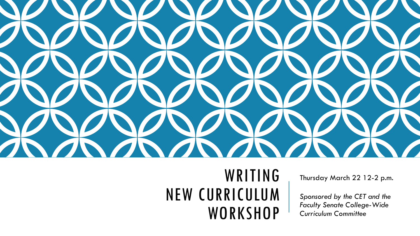

### WRITING NEW CURRICULUM **WORKSHOP**

Thursday March 22 12-2 p.m.

*Sponsored by the CET and the Faculty Senate College-Wide Curriculum Committee*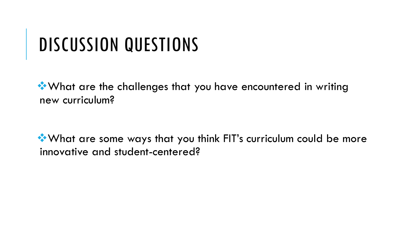### DISCUSSION QUESTIONS

What are the challenges that you have encountered in writing new curriculum?

What are some ways that you think FIT's curriculum could be more innovative and student-centered?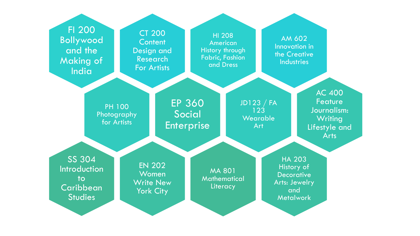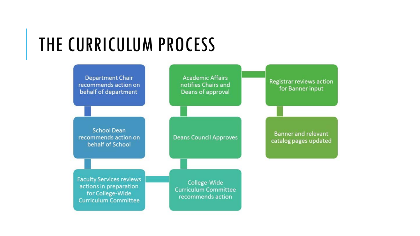### THE CURRICULUM PROCESS

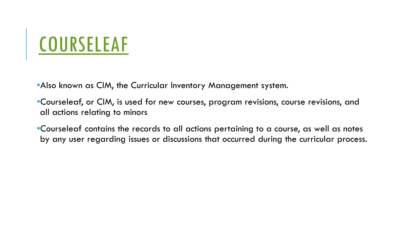# **[COURSELEAF](https://nextcatalog.fitnyc.edu/courseadmin)**

•Also known as CIM, the Curricular Inventory Management system.

•Courseleaf, or CIM, is used for new courses, program revisions, course revisions, and all actions relating to minors

•Courseleaf contains the records to all actions pertaining to a course, as well as notes by any user regarding issues or discussions that occurred during the curricular process.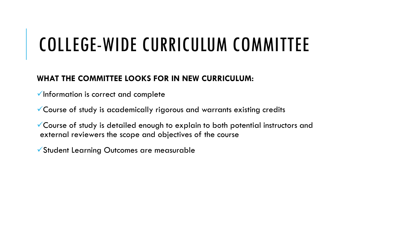# COLLEGE-WIDE CURRICULUM COMMITTEE

### **WHAT THE COMMITTEE LOOKS FOR IN NEW CURRICULUM:**

 $\checkmark$  Information is correct and complete

Course of study is academically rigorous and warrants existing credits

Course of study is detailed enough to explain to both potential instructors and external reviewers the scope and objectives of the course

Student Learning Outcomes are measurable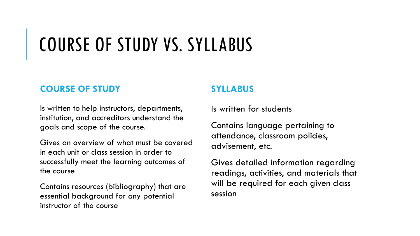# COURSE OF STUDY VS. SYLLABUS

### **COURSE OF STUDY**

Is written to help instructors, departments, institution, and accreditors understand the goals and scope of the course.

Gives an overview of what must be covered in each unit or class session in order to successfully meet the learning outcomes of the course

Contains resources (bibliography) that are essential background for any potential instructor of the course

### **SYLLABUS**

Is written for students

Contains language pertaining to attendance, classroom policies, advisement, etc.

Gives detailed information regarding readings, activities, and materials that will be required for each given class session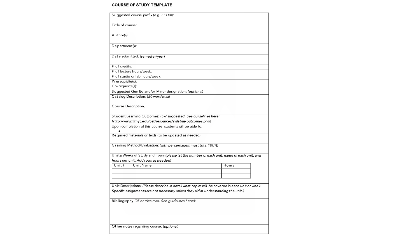#### **COURSE OF STUDY TEMPLATE**

| Suggested course prefix (e.g. FF1XX):                                                           |                                                       |  |  |  |  |
|-------------------------------------------------------------------------------------------------|-------------------------------------------------------|--|--|--|--|
| Title of course:                                                                                |                                                       |  |  |  |  |
| Author(s):                                                                                      |                                                       |  |  |  |  |
| $De$ partment(s):                                                                               |                                                       |  |  |  |  |
| Date submitted: (semester/year)                                                                 |                                                       |  |  |  |  |
| # of credits:                                                                                   |                                                       |  |  |  |  |
| # of lecture hours/week:                                                                        |                                                       |  |  |  |  |
| # of studio or lab hours/week:                                                                  |                                                       |  |  |  |  |
| Prerequisite(s):                                                                                |                                                       |  |  |  |  |
| Co-requisite(s):                                                                                |                                                       |  |  |  |  |
|                                                                                                 | Suggested Gen Ed and/or Minor designation: (optional) |  |  |  |  |
| Catalog Description: (50-word max)                                                              |                                                       |  |  |  |  |
| Course Description:                                                                             |                                                       |  |  |  |  |
| Student Learning Outcomes: (5-7 suggested. See guidelines here:                                 |                                                       |  |  |  |  |
| http://www.fitnyc.edu/cet/resources/syllabus-outcomes.php)                                      |                                                       |  |  |  |  |
| Upon completion of this course, students will be able to:                                       |                                                       |  |  |  |  |
| Required materials or texts (to be updated as needed):                                          |                                                       |  |  |  |  |
| Grading Method/Evaluation: (with percentages; must total 100%)                                  |                                                       |  |  |  |  |
| Units/Weeks of Study and hours (please list the number of each unit, name of each unit, and     |                                                       |  |  |  |  |
| hours per unit. Add rows as needed)                                                             |                                                       |  |  |  |  |
| Unit Name<br>Unit $#$                                                                           | Hours                                                 |  |  |  |  |
|                                                                                                 |                                                       |  |  |  |  |
|                                                                                                 |                                                       |  |  |  |  |
| Unit Descriptions: (Please describe in detail what topics will be covered in each unit or week. |                                                       |  |  |  |  |
| Specific assignments are not necessary unless they aid in understanding the unit.)              |                                                       |  |  |  |  |
|                                                                                                 |                                                       |  |  |  |  |
| Bibliography (25 entries max. See guidelines here:):                                            |                                                       |  |  |  |  |
|                                                                                                 |                                                       |  |  |  |  |
|                                                                                                 |                                                       |  |  |  |  |
|                                                                                                 |                                                       |  |  |  |  |
|                                                                                                 |                                                       |  |  |  |  |
| Other notes regarding course: (optional)                                                        |                                                       |  |  |  |  |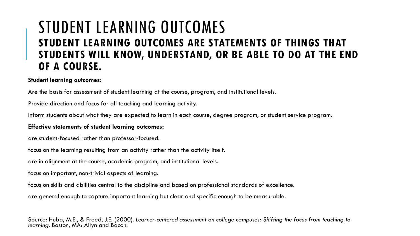### STUDENT LEARNING OUTCOMES **STUDENT LEARNING OUTCOMES ARE STATEMENTS OF THINGS THAT STUDENTS WILL KNOW, UNDERSTAND, OR BE ABLE TO DO AT THE END OF A COURSE.**

#### **Student learning outcomes:**

Are the basis for assessment of student learning at the course, program, and institutional levels.

Provide direction and focus for all teaching and learning activity.

Inform students about what they are expected to learn in each course, degree program, or student service program.

#### **Effective statements of student learning outcomes:**

are student-focused rather than professor-focused.

focus on the learning resulting from an activity rather than the activity itself.

are in alignment at the course, academic program, and institutional levels.

focus on important, non-trivial aspects of learning.

focus on skills and abilities central to the discipline and based on professional standards of excellence.

are general enough to capture important learning but clear and specific enough to be measurable.

Source: Huba, M.E., & Freed, J.E. (2000). *Learner-centered assessment on college campuses: Shifting the focus from teaching to learning*. Boston, MA: Allyn and Bacon.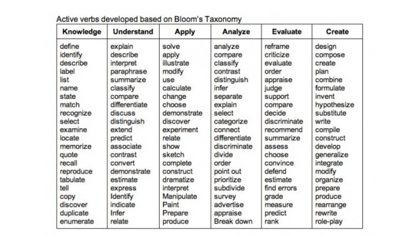| Knowledge | <b>Understand</b> | <b>Apply</b> | Analyze       | <b>Evaluate</b> | <b>Create</b> |
|-----------|-------------------|--------------|---------------|-----------------|---------------|
| define    | explain           | solve        | analyze       | reframe         | design        |
| identify  | describe          | apply        | compare       | criticize       | compose       |
| describe  | interpret         | illustrate   | classify      | evaluate        | create        |
| label     | paraphrase        | modify       | contrast      | order           | plan          |
| list      | summarize         | use          | distinguish   | appraise        | combine       |
| name      | classify          | calculate    | infer         | judge           | formulate     |
| state     | compare           | change       | separate      | support         | invent        |
| match     | differentiate     | choose       | explain       | compare         | hypothesize   |
| recognize | discuss           | demonstrate  | select        | decide          | substitute    |
| select    | distinguish       | discover     | categorize    | discriminate    | write         |
| examine   | extend            | experiment   | connect       | recommend       | compile       |
| locate    | predict           | relate       | differentiate | summarize       | construct     |
| memorize  | associate         | show         | discriminate  | assess          | develop       |
| quote     | contrast          | sketch       | divide        | choose          | generalize    |
| recall    | convert           | complete     | order         | convince        | integrate     |
| reproduce | demonstrate       | construct    | point out     | defend          | modify        |
| tabulate  | estimate          | dramatize    | prioritize    | estimate        | organize      |
| tell      | express           | interpret    | subdivide     | find errors     | prepare       |
| copy      | Identify          | Manipulate   | survey        | grade           | produce       |
| discover  | indicate          | Paint        | advertise     | measure         | rearrange     |
| duplicate | Infer             | Prepare      | appraise      | predict         | rewrite       |
| enumerate | relate            | produce      | Break down    | rank            | role-play     |

### Active verbs developed based on Bloom's Taxonomy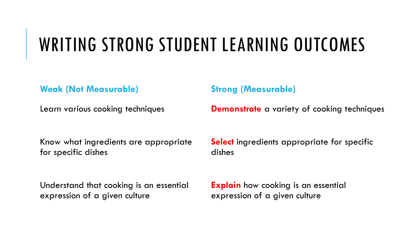## WRITING STRONG STUDENT LEARNING OUTCOMES

**Weak (Not Measurable)**

Learn various cooking techniques

**Strong (Measurable)**

**Demonstrate** a variety of cooking techniques

Know what ingredients are appropriate for specific dishes

Understand that cooking is an essential expression of a given culture

**Select** ingredients appropriate for specific dishes

**Explain** how cooking is an essential expression of a given culture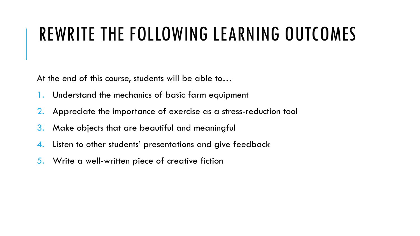## REWRITE THE FOLLOWING LEARNING OUTCOMES

At the end of this course, students will be able to…

- Understand the mechanics of basic farm equipment
- 2. Appreciate the importance of exercise as a stress-reduction tool
- 3. Make objects that are beautiful and meaningful
- 4. Listen to other students' presentations and give feedback
- 5. Write a well-written piece of creative fiction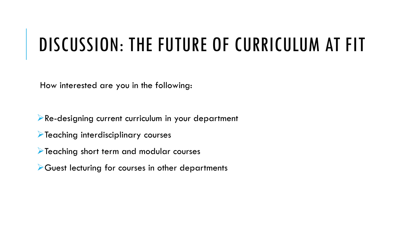### DISCUSSION: THE FUTURE OF CURRICULUM AT FIT

How interested are you in the following:

**Re-designing current curriculum in your department** 

**Teaching interdisciplinary courses** 

Teaching short term and modular courses

Guest lecturing for courses in other departments